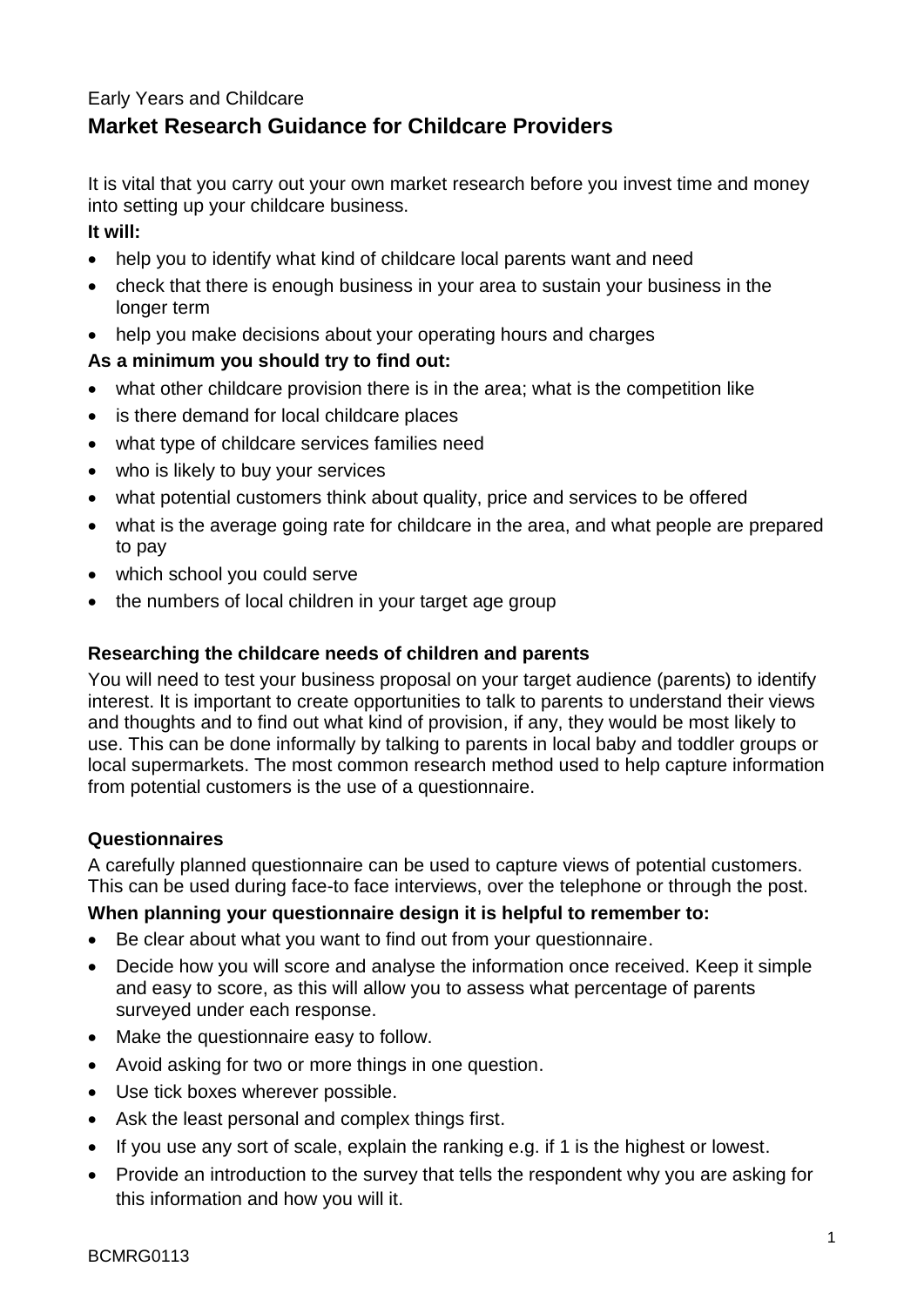# Early Years and Childcare **Market Research Guidance for Childcare Providers**

It is vital that you carry out your own market research before you invest time and money into setting up your childcare business.

### **It will:**

- help you to identify what kind of childcare local parents want and need
- check that there is enough business in your area to sustain your business in the longer term
- help you make decisions about your operating hours and charges

# **As a minimum you should try to find out:**

- what other childcare provision there is in the area; what is the competition like
- is there demand for local childcare places
- what type of childcare services families need
- who is likely to buy your services
- what potential customers think about quality, price and services to be offered
- what is the average going rate for childcare in the area, and what people are prepared to pay
- which school you could serve
- the numbers of local children in your target age group

# **Researching the childcare needs of children and parents**

You will need to test your business proposal on your target audience (parents) to identify interest. It is important to create opportunities to talk to parents to understand their views and thoughts and to find out what kind of provision, if any, they would be most likely to use. This can be done informally by talking to parents in local baby and toddler groups or local supermarkets. The most common research method used to help capture information from potential customers is the use of a questionnaire.

# **Questionnaires**

A carefully planned questionnaire can be used to capture views of potential customers. This can be used during face-to face interviews, over the telephone or through the post.

# **When planning your questionnaire design it is helpful to remember to:**

- Be clear about what you want to find out from your questionnaire.
- Decide how you will score and analyse the information once received. Keep it simple and easy to score, as this will allow you to assess what percentage of parents surveyed under each response.
- Make the questionnaire easy to follow.
- Avoid asking for two or more things in one question.
- Use tick boxes wherever possible.
- Ask the least personal and complex things first.
- If you use any sort of scale, explain the ranking e.g. if 1 is the highest or lowest.
- Provide an introduction to the survey that tells the respondent why you are asking for this information and how you will it.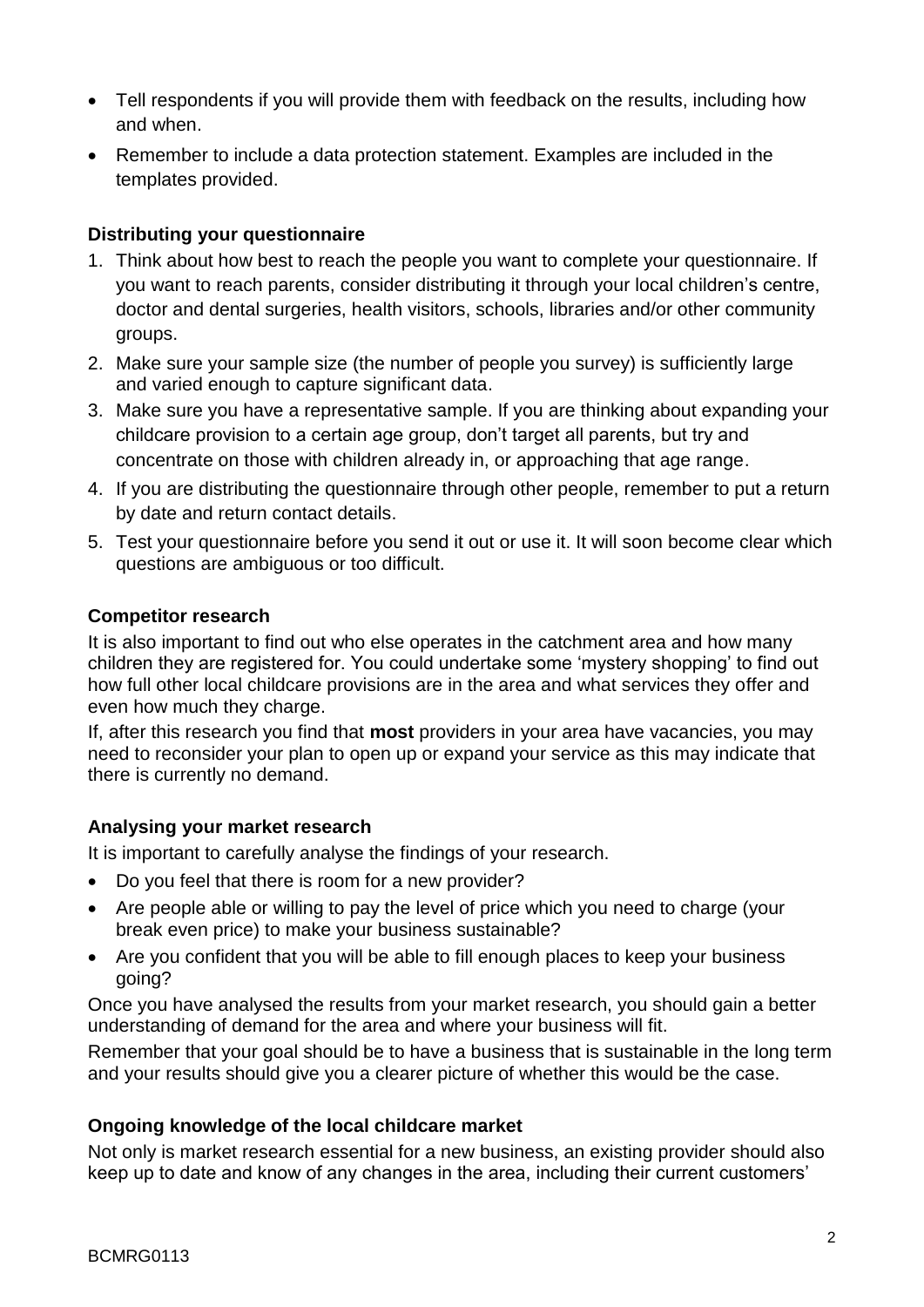- Tell respondents if you will provide them with feedback on the results, including how and when.
- Remember to include a data protection statement. Examples are included in the templates provided.

# **Distributing your questionnaire**

- 1. Think about how best to reach the people you want to complete your questionnaire. If you want to reach parents, consider distributing it through your local children's centre, doctor and dental surgeries, health visitors, schools, libraries and/or other community groups.
- 2. Make sure your sample size (the number of people you survey) is sufficiently large and varied enough to capture significant data.
- 3. Make sure you have a representative sample. If you are thinking about expanding your childcare provision to a certain age group, don't target all parents, but try and concentrate on those with children already in, or approaching that age range.
- 4. If you are distributing the questionnaire through other people, remember to put a return by date and return contact details.
- 5. Test your questionnaire before you send it out or use it. It will soon become clear which questions are ambiguous or too difficult.

#### **Competitor research**

It is also important to find out who else operates in the catchment area and how many children they are registered for. You could undertake some 'mystery shopping' to find out how full other local childcare provisions are in the area and what services they offer and even how much they charge.

If, after this research you find that **most** providers in your area have vacancies, you may need to reconsider your plan to open up or expand your service as this may indicate that there is currently no demand.

# **Analysing your market research**

It is important to carefully analyse the findings of your research.

- Do you feel that there is room for a new provider?
- Are people able or willing to pay the level of price which you need to charge (your break even price) to make your business sustainable?
- Are you confident that you will be able to fill enough places to keep your business going?

Once you have analysed the results from your market research, you should gain a better understanding of demand for the area and where your business will fit.

Remember that your goal should be to have a business that is sustainable in the long term and your results should give you a clearer picture of whether this would be the case.

# **Ongoing knowledge of the local childcare market**

Not only is market research essential for a new business, an existing provider should also keep up to date and know of any changes in the area, including their current customers'